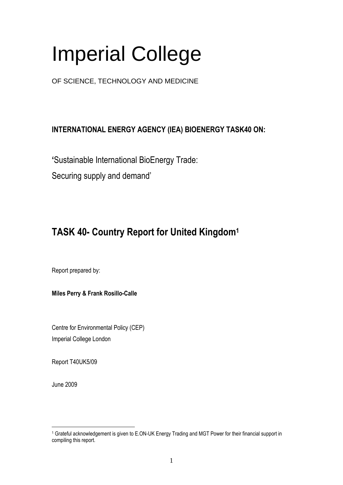# Imperial College

OF SCIENCE, TECHNOLOGY AND MEDICINE

### **INTERNATIONAL ENERGY AGENCY (IEA) BIOENERGY TASK40 ON:**

**'**Sustainable International BioEnergy Trade:

Securing supply and demand'

## **TASK 40- Country Report for United Kingdom<sup>1</sup>**

Report prepared by:

**Miles Perry & Frank Rosillo-Calle**

Centre for Environmental Policy (CEP) Imperial College London

Report T40UK5/09

June 2009

<sup>1</sup> <sup>1</sup> Grateful acknowledgement is given to E.ON-UK Energy Trading and MGT Power for their financial support in compiling this report.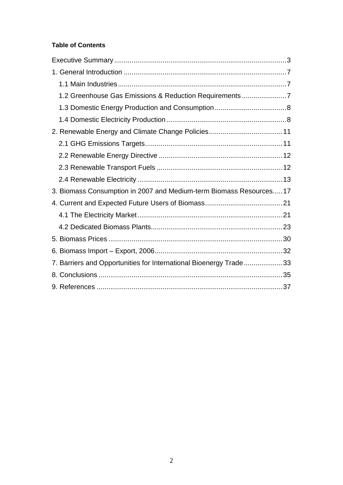#### **Table of Contents**

| 1.2 Greenhouse Gas Emissions & Reduction Requirements7             |  |
|--------------------------------------------------------------------|--|
|                                                                    |  |
|                                                                    |  |
|                                                                    |  |
|                                                                    |  |
|                                                                    |  |
|                                                                    |  |
|                                                                    |  |
| 3. Biomass Consumption in 2007 and Medium-term Biomass Resources17 |  |
|                                                                    |  |
|                                                                    |  |
|                                                                    |  |
|                                                                    |  |
|                                                                    |  |
| 7. Barriers and Opportunities for International Bioenergy Trade33  |  |
|                                                                    |  |
|                                                                    |  |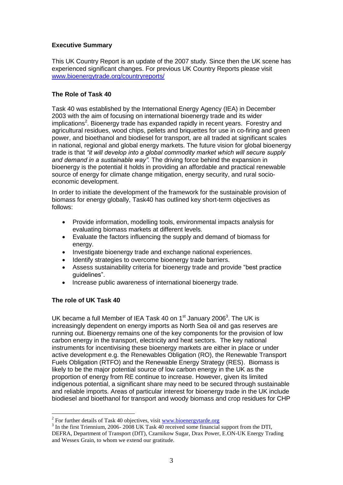#### **Executive Summary**

This UK Country Report is an update of the 2007 study. Since then the UK scene has experienced significant changes. For previous UK Country Reports please visit [www.bioenergytrade.org/countryreports/](http://www.bioenergytrade.org/countryreports/)

#### **The Role of Task 40**

Task 40 was established by the International Energy Agency (IEA) in December 2003 with the aim of focusing on international bioenergy trade and its wider implications<sup>2</sup>. Bioenergy trade has expanded rapidly in recent years. Forestry and agricultural residues, wood chips, pellets and briquettes for use in co-firing and green power, and bioethanol and biodiesel for transport, are all traded at significant scales in national, regional and global energy markets. The future vision for global bioenergy trade is that *"it will develop into a global commodity market which will secure supply and demand in a sustainable way".* The driving force behind the expansion in bioenergy is the potential it holds in providing an affordable and practical renewable source of energy for climate change mitigation, energy security, and rural socioeconomic development.

In order to initiate the development of the framework for the sustainable provision of biomass for energy globally, Task40 has outlined key short-term objectives as follows:

- Provide information, modelling tools, environmental impacts analysis for evaluating biomass markets at different levels.
- Evaluate the factors influencing the supply and demand of biomass for energy.
- Investigate bioenergy trade and exchange national experiences.
- Identify strategies to overcome bioenergy trade barriers.
- Assess sustainability criteria for bioenergy trade and provide "best practice guidelines".
- Increase public awareness of international bioenergy trade.

#### **The role of UK Task 40**

1

UK became a full Member of IEA Task 40 on  $1<sup>st</sup>$  January 2006<sup>3</sup>. The UK is increasingly dependent on energy imports as North Sea oil and gas reserves are running out. Bioenergy remains one of the key components for the provision of low carbon energy in the transport, electricity and heat sectors. The key national instruments for incentivising these bioenergy markets are either in place or under active development e.g. the Renewables Obligation (RO), the Renewable Transport Fuels Obligation (RTFO) and the Renewable Energy Strategy (RES). Biomass is likely to be the major potential source of low carbon energy in the UK as the proportion of energy from RE continue to increase. However, given its limited indigenous potential, a significant share may need to be secured through sustainable and reliable imports. Areas of particular interest for bioenergy trade in the UK include biodiesel and bioethanol for transport and woody biomass and crop residues for CHP

<sup>&</sup>lt;sup>2</sup> For further details of Task 40 objectives, visit  $\frac{www.bioenergytarde.org}{m}$ 

<sup>&</sup>lt;sup>3</sup> In the first Triennium, 2006- 2008 UK Task 40 received some financial support from the DTI, DEFRA, Department of Transport (DfT), Czarnikow Sugar, Drax Power, E.ON-UK Energy Trading and Wessex Grain, to whom we extend our gratitude.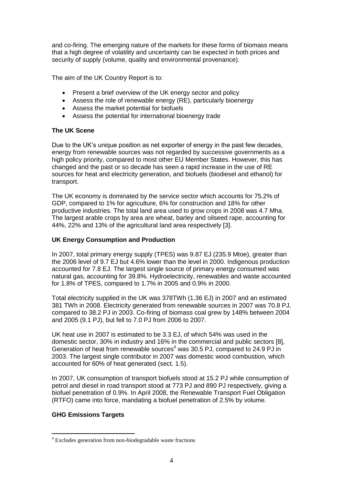and co-firing. The emerging nature of the markets for these forms of biomass means that a high degree of volatility and uncertainty can be expected in both prices and security of supply (volume, quality and environmental provenance).

The aim of the UK Country Report is to:

- Present a brief overview of the UK energy sector and policy
- Assess the role of renewable energy (RE), particularly bioenergy
- Assess the market potential for biofuels
- Assess the potential for international bioenergy trade

#### **The UK Scene**

Due to the UK"s unique position as net exporter of energy in the past few decades, energy from renewable sources was not regarded by successive governments as a high policy priority, compared to most other EU Member States. However, this has changed and the past or so decade has seen a rapid increase in the use of RE sources for heat and electricity generation, and biofuels (biodiesel and ethanol) for transport.

The UK economy is dominated by the service sector which accounts for 75.2% of GDP, compared to 1% for agriculture, 6% for construction and 18% for other productive industries. The total land area used to grow crops in 2008 was 4.7 Mha. The largest arable crops by area are wheat, barley and oilseed rape, accounting for 44%, 22% and 13% of the agricultural land area respectively [3].

#### **UK Energy Consumption and Production**

In 2007, total primary energy supply (TPES) was 9.87 EJ (235.9 Mtoe), greater than the 2006 level of 9.7 EJ but 4.6% lower than the level in 2000. Indigenous production accounted for 7.8 EJ. The largest single source of primary energy consumed was natural gas, accounting for 39.8%. Hydroelectricity, renewables and waste accounted for 1.8% of TPES, compared to 1.7% in 2005 and 0.9% in 2000.

Total electricity supplied in the UK was 378TWh (1.36 EJ) in 2007 and an estimated 381 TWh in 2008. Electricity generated from renewable sources in 2007 was 70.8 PJ, compared to 38.2 PJ in 2003. Co-firing of biomass coal grew by 148% between 2004 and 2005 (9.1 PJ), but fell to 7.0 PJ from 2006 to 2007.

UK heat use in 2007 is estimated to be 3.3 EJ, of which 54% was used in the domestic sector, 30% in industry and 16% in the commercial and public sectors [8], Generation of heat from renewable sources<sup>4</sup> was 30.5 PJ, compared to 24.9 PJ in 2003. The largest single contributor in 2007 was domestic wood combustion, which accounted for 60% of heat generated (sect. 1.5).

In 2007, UK consumption of transport biofuels stood at 15.2 PJ while consumption of petrol and diesel in road transport stood at 773 PJ and 890 PJ respectively, giving a biofuel penetration of 0.9%. In April 2008, the Renewable Transport Fuel Obligation (RTFO) came into force, mandating a biofuel penetration of 2.5% by volume.

#### **GHG Emissions Targets**

1

<sup>4</sup> Excludes generation from non-biodegradable waste fractions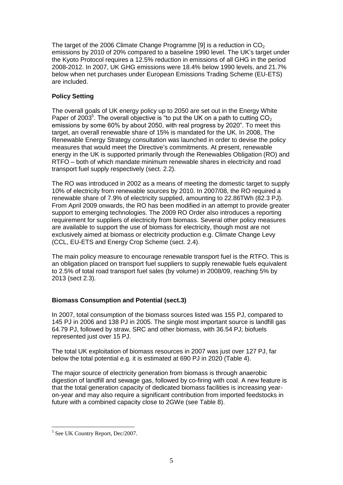The target of the 2006 Climate Change Programme [9] is a reduction in  $CO<sub>2</sub>$ emissions by 2010 of 20% compared to a baseline 1990 level. The UK"s target under the Kyoto Protocol requires a 12.5% reduction in emissions of all GHG in the period 2008-2012. In 2007, UK GHG emissions were 18.4% below 1990 levels, and 21.7% below when net purchases under European Emissions Trading Scheme (EU-ETS) are included.

#### **Policy Setting**

The overall goals of UK energy policy up to 2050 are set out in the Energy White Paper of 2003<sup>5</sup>. The overall objective is "to put the UK on a path to cutting  $CO<sub>2</sub>$ emissions by some 60% by about 2050, with real progress by 2020". To meet this target, an overall renewable share of 15% is mandated for the UK. In 2008, The Renewable Energy Strategy consultation was launched in order to devise the policy measures that would meet the Directive"s commitments. At present, renewable energy in the UK is supported primarily through the Renewables Obligation (RO) and RTFO – both of which mandate minimum renewable shares in electricity and road transport fuel supply respectively (sect. 2.2).

The RO was introduced in 2002 as a means of meeting the domestic target to supply 10% of electricity from renewable sources by 2010. In 2007/08, the RO required a renewable share of 7.9% of electricity supplied, amounting to 22.86TWh (82.3 PJ). From April 2009 onwards, the RO has been modified in an attempt to provide greater support to emerging technologies. The 2009 RO Order also introduces a reporting requirement for suppliers of electricity from biomass. Several other policy measures are available to support the use of biomass for electricity, though most are not exclusively aimed at biomass or electricity production e.g. Climate Change Levy (CCL, EU-ETS and Energy Crop Scheme (sect. 2.4).

The main policy measure to encourage renewable transport fuel is the RTFO. This is an obligation placed on transport fuel suppliers to supply renewable fuels equivalent to 2.5% of total road transport fuel sales (by volume) in 2008/09, reaching 5% by 2013 (sect 2.3).

#### **Biomass Consumption and Potential (sect.3)**

In 2007, total consumption of the biomass sources listed was 155 PJ, compared to 145 PJ in 2006 and 138 PJ in 2005. The single most important source is landfill gas 64.79 PJ, followed by straw, SRC and other biomass, with 36.54 PJ; biofuels represented just over 15 PJ.

The total UK exploitation of biomass resources in 2007 was just over 127 PJ, far below the total potential e.g. it is estimated at 690 PJ in 2020 (Table 4).

The major source of electricity generation from biomass is through anaerobic digestion of landfill and sewage gas, followed by co-firing with coal. A new feature is that the total generation capacity of dedicated biomass facilities is increasing yearon-year and may also require a significant contribution from imported feedstocks in future with a combined capacity close to 2GWe (see Table 8).

<sup>1</sup> 5 See UK Country Report, Dec/2007.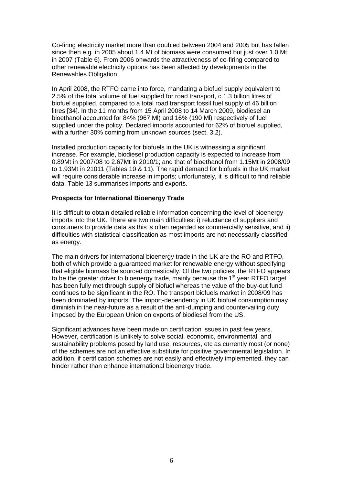Co-firing electricity market more than doubled between 2004 and 2005 but has fallen since then e.g. in 2005 about 1.4 Mt of biomass were consumed but just over 1.0 Mt in 2007 (Table 6). From 2006 onwards the attractiveness of co-firing compared to other renewable electricity options has been affected by developments in the Renewables Obligation.

In April 2008, the RTFO came into force, mandating a biofuel supply equivalent to 2.5% of the total volume of fuel supplied for road transport, c.1.3 billion litres of biofuel supplied, compared to a total road transport fossil fuel supply of 46 billion litres [34]. In the 11 months from 15 April 2008 to 14 March 2009, biodiesel an bioethanol accounted for 84% (967 Ml) and 16% (190 Ml) respectively of fuel supplied under the policy. Declared imports accounted for 62% of biofuel supplied, with a further 30% coming from unknown sources (sect. 3.2).

Installed production capacity for biofuels in the UK is witnessing a significant increase. For example, biodiesel production capacity is expected to increase from 0.89Mt in 2007/08 to 2.67Mt in 2010/1; and that of bioethanol from 1.15Mt in 2008/09 to 1.93Mt in 21011 (Tables 10 & 11). The rapid demand for biofuels in the UK market will require considerable increase in imports; unfortunately, it is difficult to find reliable data. Table 13 summarises imports and exports.

#### **Prospects for International Bioenergy Trade**

It is difficult to obtain detailed reliable information concerning the level of bioenergy imports into the UK. There are two main difficulties: i) reluctance of suppliers and consumers to provide data as this is often regarded as commercially sensitive, and ii) difficulties with statistical classification as most imports are not necessarily classified as energy.

The main drivers for international bioenergy trade in the UK are the RO and RTFO, both of which provide a guaranteed market for renewable energy without specifying that eligible biomass be sourced domestically. Of the two policies, the RTFO appears to be the greater driver to bioenergy trade, mainly because the 1<sup>st</sup> year RTFO target has been fully met through supply of biofuel whereas the value of the buy-out fund continues to be significant in the RO. The transport biofuels market in 2008/09 has been dominated by imports. The import-dependency in UK biofuel consumption may diminish in the near-future as a result of the anti-dumping and countervailing duty imposed by the European Union on exports of biodiesel from the US.

Significant advances have been made on certification issues in past few years. However, certification is unlikely to solve social, economic, environmental, and sustainability problems posed by land use, resources, etc as currently most (or none) of the schemes are not an effective substitute for positive governmental legislation. In addition, if certification schemes are not easily and effectively implemented, they can hinder rather than enhance international bioenergy trade.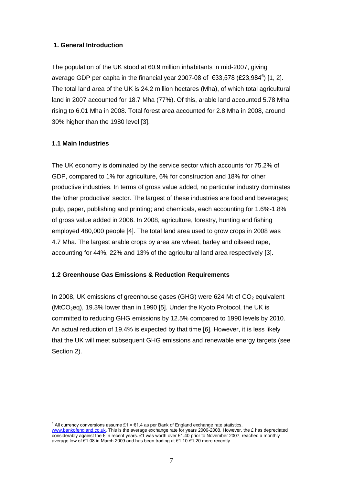#### **1. General Introduction**

The population of the UK stood at 60.9 million inhabitants in mid-2007, giving average GDP per capita in the financial year 2007-08 of €33,578 (£23,984<sup>6</sup>) [1, 2]. The total land area of the UK is 24.2 million hectares (Mha), of which total agricultural land in 2007 accounted for 18.7 Mha (77%). Of this, arable land accounted 5.78 Mha rising to 6.01 Mha in 2008. Total forest area accounted for 2.8 Mha in 2008, around 30% higher than the 1980 level [3].

#### **1.1 Main Industries**

The UK economy is dominated by the service sector which accounts for 75.2% of GDP, compared to 1% for agriculture, 6% for construction and 18% for other productive industries. In terms of gross value added, no particular industry dominates the "other productive" sector. The largest of these industries are food and beverages; pulp, paper, publishing and printing; and chemicals, each accounting for 1.6%-1.8% of gross value added in 2006. In 2008, agriculture, forestry, hunting and fishing employed 480,000 people [4]. The total land area used to grow crops in 2008 was 4.7 Mha. The largest arable crops by area are wheat, barley and oilseed rape, accounting for 44%, 22% and 13% of the agricultural land area respectively [3].

#### **1.2 Greenhouse Gas Emissions & Reduction Requirements**

In 2008, UK emissions of greenhouse gases (GHG) were 624 Mt of  $CO<sub>2</sub>$  equivalent (MtCO<sub>2</sub>eq), 19.3% lower than in 1990 [5]. Under the Kyoto Protocol, the UK is committed to reducing GHG emissions by 12.5% compared to 1990 levels by 2010. An actual reduction of 19.4% is expected by that time [6]. However, it is less likely that the UK will meet subsequent GHG emissions and renewable energy targets (see Section 2).

<sup>&</sup>lt;u>.</u>  $6$  All currency conversions assume £1 =  $61.4$  as per Bank of England exchange rate statistics,

[www.bankofengland.co.uk.](http://www.bankofengland.co.uk/) This is the average exchange rate for years 2006-2008, However, the £ has depreciated considerably against the € in recent years. £1 was worth over €1.40 prior to November 2007, reached a monthly average low of €1.08 in March 2009 and has been trading at €1.10-€1.20 more recently.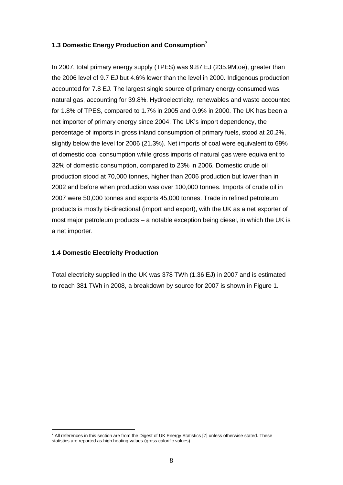#### **1.3 Domestic Energy Production and Consumption<sup>7</sup>**

In 2007, total primary energy supply (TPES) was 9.87 EJ (235.9Mtoe), greater than the 2006 level of 9.7 EJ but 4.6% lower than the level in 2000. Indigenous production accounted for 7.8 EJ. The largest single source of primary energy consumed was natural gas, accounting for 39.8%. Hydroelectricity, renewables and waste accounted for 1.8% of TPES, compared to 1.7% in 2005 and 0.9% in 2000. The UK has been a net importer of primary energy since 2004. The UK"s import dependency, the percentage of imports in gross inland consumption of primary fuels, stood at 20.2%, slightly below the level for 2006 (21.3%). Net imports of coal were equivalent to 69% of domestic coal consumption while gross imports of natural gas were equivalent to 32% of domestic consumption, compared to 23% in 2006. Domestic crude oil production stood at 70,000 tonnes, higher than 2006 production but lower than in 2002 and before when production was over 100,000 tonnes. Imports of crude oil in 2007 were 50,000 tonnes and exports 45,000 tonnes. Trade in refined petroleum products is mostly bi-directional (import and export), with the UK as a net exporter of most major petroleum products – a notable exception being diesel, in which the UK is a net importer.

#### **1.4 Domestic Electricity Production**

1

Total electricity supplied in the UK was 378 TWh (1.36 EJ) in 2007 and is estimated to reach 381 TWh in 2008, a breakdown by source for 2007 is shown in Figure 1.

 $^7$  All references in this section are from the Digest of UK Energy Statistics [7] unless otherwise stated. These statistics are reported as high heating values (gross calorific values).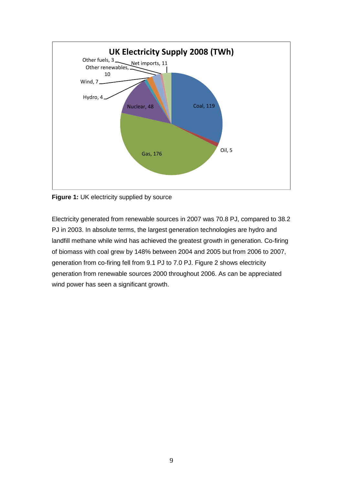

**Figure 1:** UK electricity supplied by source

Electricity generated from renewable sources in 2007 was 70.8 PJ, compared to 38.2 PJ in 2003. In absolute terms, the largest generation technologies are hydro and landfill methane while wind has achieved the greatest growth in generation. Co-firing of biomass with coal grew by 148% between 2004 and 2005 but from 2006 to 2007, generation from co-firing fell from 9.1 PJ to 7.0 PJ. Figure 2 shows electricity generation from renewable sources 2000 throughout 2006. As can be appreciated wind power has seen a significant growth.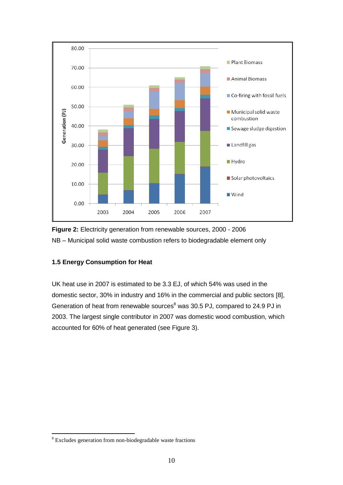



#### **1.5 Energy Consumption for Heat**

UK heat use in 2007 is estimated to be 3.3 EJ, of which 54% was used in the domestic sector, 30% in industry and 16% in the commercial and public sectors [8], Generation of heat from renewable sources $8$  was 30.5 PJ, compared to 24.9 PJ in 2003. The largest single contributor in 2007 was domestic wood combustion, which accounted for 60% of heat generated (see Figure 3).

1

<sup>8</sup> Excludes generation from non-biodegradable waste fractions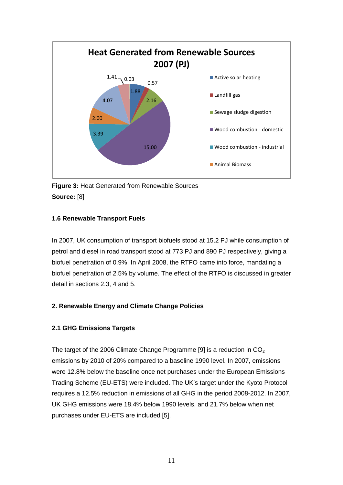

**Figure 3:** Heat Generated from Renewable Sources **Source:** [8]

#### **1.6 Renewable Transport Fuels**

In 2007, UK consumption of transport biofuels stood at 15.2 PJ while consumption of petrol and diesel in road transport stood at 773 PJ and 890 PJ respectively, giving a biofuel penetration of 0.9%. In April 2008, the RTFO came into force, mandating a biofuel penetration of 2.5% by volume. The effect of the RTFO is discussed in greater detail in sections 2.3, 4 and 5.

#### **2. Renewable Energy and Climate Change Policies**

#### **2.1 GHG Emissions Targets**

The target of the 2006 Climate Change Programme [9] is a reduction in  $CO<sub>2</sub>$ emissions by 2010 of 20% compared to a baseline 1990 level. In 2007, emissions were 12.8% below the baseline once net purchases under the European Emissions Trading Scheme (EU-ETS) were included. The UK"s target under the Kyoto Protocol requires a 12.5% reduction in emissions of all GHG in the period 2008-2012. In 2007, UK GHG emissions were 18.4% below 1990 levels, and 21.7% below when net purchases under EU-ETS are included [5].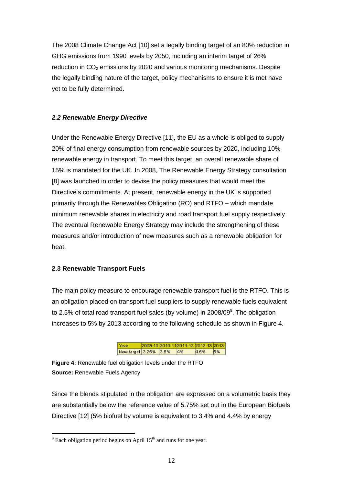The 2008 Climate Change Act [10] set a legally binding target of an 80% reduction in GHG emissions from 1990 levels by 2050, including an interim target of 26% reduction in  $CO<sub>2</sub>$  emissions by 2020 and various monitoring mechanisms. Despite the legally binding nature of the target, policy mechanisms to ensure it is met have yet to be fully determined.

#### *2.2 Renewable Energy Directive*

Under the Renewable Energy Directive [11], the EU as a whole is obliged to supply 20% of final energy consumption from renewable sources by 2020, including 10% renewable energy in transport. To meet this target, an overall renewable share of 15% is mandated for the UK. In 2008, The Renewable Energy Strategy consultation [8] was launched in order to devise the policy measures that would meet the Directive's commitments. At present, renewable energy in the UK is supported primarily through the Renewables Obligation (RO) and RTFO – which mandate minimum renewable shares in electricity and road transport fuel supply respectively. The eventual Renewable Energy Strategy may include the strengthening of these measures and/or introduction of new measures such as a renewable obligation for heat.

#### **2.3 Renewable Transport Fuels**

The main policy measure to encourage renewable transport fuel is the RTFO. This is an obligation placed on transport fuel suppliers to supply renewable fuels equivalent to 2.5% of total road transport fuel sales (by volume) in 2008/09 $^{\circ}$ . The obligation increases to 5% by 2013 according to the following schedule as shown in Figure 4.

> 2009-10 2010-11 2011-12 2012-13 2013-Year New target 3.25% 3.5% 4% 4.5% 5%

**Figure 4:** Renewable fuel obligation levels under the RTFO **Source:** Renewable Fuels Agency

Since the blends stipulated in the obligation are expressed on a volumetric basis they are substantially below the reference value of 5.75% set out in the European Biofuels Directive [12] (5% biofuel by volume is equivalent to 3.4% and 4.4% by energy

1

 $9^9$  Each obligation period begins on April 15<sup>th</sup> and runs for one year.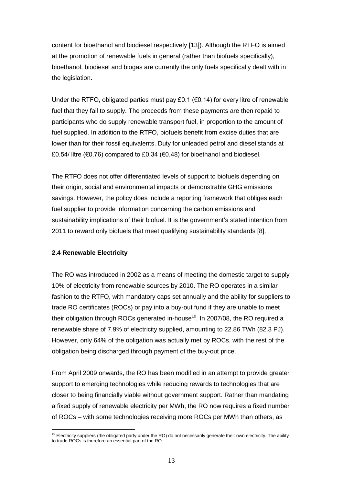content for bioethanol and biodiesel respectively [13]). Although the RTFO is aimed at the promotion of renewable fuels in general (rather than biofuels specifically), bioethanol, biodiesel and biogas are currently the only fuels specifically dealt with in the legislation.

Under the RTFO, obligated parties must pay £0.1 ( $\epsilon$ 0.14) for every litre of renewable fuel that they fail to supply. The proceeds from these payments are then repaid to participants who do supply renewable transport fuel, in proportion to the amount of fuel supplied. In addition to the RTFO, biofuels benefit from excise duties that are lower than for their fossil equivalents. Duty for unleaded petrol and diesel stands at £0.54/ litre ( $\epsilon$ 0.76) compared to £0.34 ( $\epsilon$ 0.48) for bioethanol and biodiesel.

The RTFO does not offer differentiated levels of support to biofuels depending on their origin, social and environmental impacts or demonstrable GHG emissions savings. However, the policy does include a reporting framework that obliges each fuel supplier to provide information concerning the carbon emissions and sustainability implications of their biofuel. It is the government"s stated intention from 2011 to reward only biofuels that meet qualifying sustainability standards [8].

#### **2.4 Renewable Electricity**

1

The RO was introduced in 2002 as a means of meeting the domestic target to supply 10% of electricity from renewable sources by 2010. The RO operates in a similar fashion to the RTFO, with mandatory caps set annually and the ability for suppliers to trade RO certificates (ROCs) or pay into a buy-out fund if they are unable to meet their obligation through ROCs generated in-house<sup>10</sup>. In 2007/08, the RO required a renewable share of 7.9% of electricity supplied, amounting to 22.86 TWh (82.3 PJ). However, only 64% of the obligation was actually met by ROCs, with the rest of the obligation being discharged through payment of the buy-out price.

From April 2009 onwards, the RO has been modified in an attempt to provide greater support to emerging technologies while reducing rewards to technologies that are closer to being financially viable without government support. Rather than mandating a fixed supply of renewable electricity per MWh, the RO now requires a fixed number of ROCs – with some technologies receiving more ROCs per MWh than others, as

 $10$  Electricity suppliers (the obligated party under the RO) do not necessarily generate their own electricity. The ability to trade ROCs is therefore an essential part of the RO.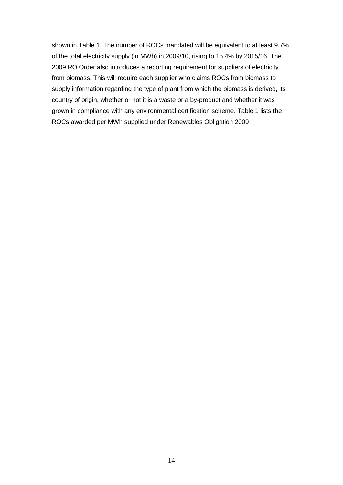shown in Table 1. The number of ROCs mandated will be equivalent to at least 9.7% of the total electricity supply (in MWh) in 2009/10, rising to 15.4% by 2015/16. The 2009 RO Order also introduces a reporting requirement for suppliers of electricity from biomass. This will require each supplier who claims ROCs from biomass to supply information regarding the type of plant from which the biomass is derived, its country of origin, whether or not it is a waste or a by-product and whether it was grown in compliance with any environmental certification scheme. Table 1 lists the ROCs awarded per MWh supplied under Renewables Obligation 2009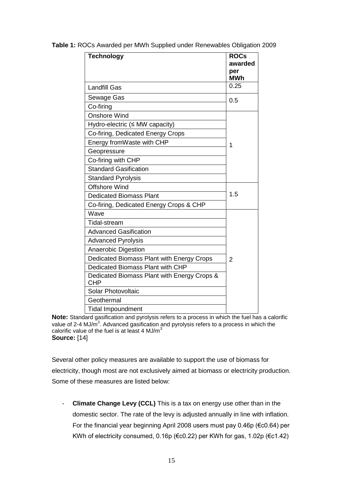| <b>Technology</b>                                         | <b>ROCs</b><br>awarded |
|-----------------------------------------------------------|------------------------|
|                                                           | per                    |
|                                                           | <b>MWh</b>             |
| <b>Landfill Gas</b>                                       | 0.25                   |
| Sewage Gas                                                | 0.5                    |
| Co-firing                                                 |                        |
| <b>Onshore Wind</b>                                       |                        |
| Hydro-electric (≤ MW capacity)                            |                        |
| Co-firing, Dedicated Energy Crops                         |                        |
| Energy fromWaste with CHP                                 | 1                      |
| Geopressure                                               |                        |
| Co-firing with CHP                                        |                        |
| <b>Standard Gasification</b>                              |                        |
| <b>Standard Pyrolysis</b>                                 |                        |
| <b>Offshore Wind</b>                                      |                        |
| <b>Dedicated Biomass Plant</b>                            | 1.5                    |
| Co-firing, Dedicated Energy Crops & CHP                   |                        |
| Wave                                                      |                        |
| Tidal-stream                                              |                        |
| <b>Advanced Gasification</b>                              |                        |
| <b>Advanced Pyrolysis</b>                                 |                        |
| Anaerobic Digestion                                       |                        |
| Dedicated Biomass Plant with Energy Crops                 | 2                      |
| Dedicated Biomass Plant with CHP                          |                        |
| Dedicated Biomass Plant with Energy Crops &<br><b>CHP</b> |                        |
| <b>Solar Photovoltaic</b>                                 |                        |
| Geothermal                                                |                        |
| <b>Tidal Impoundment</b>                                  |                        |

**Table 1:** ROCs Awarded per MWh Supplied under Renewables Obligation 2009

**Note:** Standard gasification and pyrolysis refers to a process in which the fuel has a calorific value of 2-4 MJ/ $\overline{m}^3$ . Advanced gasification and pyrolysis refers to a process in which the calorific value of the fuel is at least 4 MJ/ $m<sup>3</sup>$ **Source:** [14]

Several other policy measures are available to support the use of biomass for electricity, though most are not exclusively aimed at biomass or electricity production. Some of these measures are listed below:

- **Climate Change Levy (CCL)** This is a tax on energy use other than in the domestic sector. The rate of the levy is adjusted annually in line with inflation. For the financial year beginning April 2008 users must pay 0.46p (€c0.64) per KWh of electricity consumed, 0.16p (€c0.22) per KWh for gas, 1.02p (€c1.42)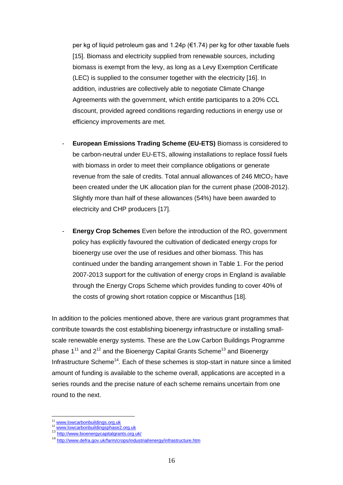per kg of liquid petroleum gas and 1.24p (€1.74) per kg for other taxable fuels [15]. Biomass and electricity supplied from renewable sources, including biomass is exempt from the levy, as long as a Levy Exemption Certificate (LEC) is supplied to the consumer together with the electricity [16]. In addition, industries are collectively able to negotiate Climate Change Agreements with the government, which entitle participants to a 20% CCL discount, provided agreed conditions regarding reductions in energy use or efficiency improvements are met.

- **European Emissions Trading Scheme (EU-ETS)** Biomass is considered to be carbon-neutral under EU-ETS, allowing installations to replace fossil fuels with biomass in order to meet their compliance obligations or generate revenue from the sale of credits. Total annual allowances of 246 MtCO<sub>2</sub> have been created under the UK allocation plan for the current phase (2008-2012). Slightly more than half of these allowances (54%) have been awarded to electricity and CHP producers [17].
- **Energy Crop Schemes** Even before the introduction of the RO, government policy has explicitly favoured the cultivation of dedicated energy crops for bioenergy use over the use of residues and other biomass. This has continued under the banding arrangement shown in Table 1. For the period 2007-2013 support for the cultivation of energy crops in England is available through the Energy Crops Scheme which provides funding to cover 40% of the costs of growing short rotation coppice or Miscanthus [18].

In addition to the policies mentioned above, there are various grant programmes that contribute towards the cost establishing bioenergy infrastructure or installing smallscale renewable energy systems. These are the Low Carbon Buildings Programme phase  $1^{11}$  and  $2^{12}$  and the Bioenergy Capital Grants Scheme<sup>13</sup> and Bioenergy Infrastructure Scheme<sup>14</sup>. Each of these schemes is stop-start in nature since a limited amount of funding is available to the scheme overall, applications are accepted in a series rounds and the precise nature of each scheme remains uncertain from one round to the next.

<u>.</u>

 $\frac{11}{12}$  [www.lowcarbonbuildings.org.uk](http://www.lowcarbonbuildings.org.uk/)

[www.lowcarbonbuildingsphase2.org.uk](http://www.lowcarbonbuildingsphase2.org.uk/)

<http://www.bioenergycapitalgrants.org.uk/>

<sup>14</sup> http://www.defra.gov.uk/farm/crops/industrial/energy/infrastructure.htm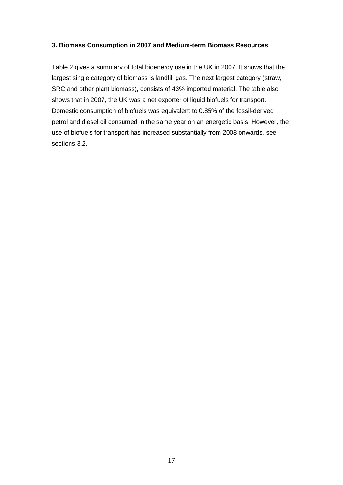#### **3. Biomass Consumption in 2007 and Medium-term Biomass Resources**

Table 2 gives a summary of total bioenergy use in the UK in 2007. It shows that the largest single category of biomass is landfill gas. The next largest category (straw, SRC and other plant biomass), consists of 43% imported material. The table also shows that in 2007, the UK was a net exporter of liquid biofuels for transport. Domestic consumption of biofuels was equivalent to 0.85% of the fossil-derived petrol and diesel oil consumed in the same year on an energetic basis. However, the use of biofuels for transport has increased substantially from 2008 onwards, see sections 3.2.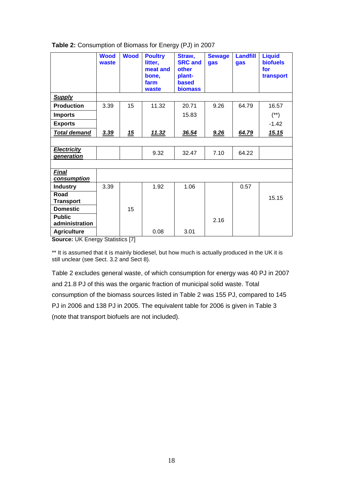|                                  | <b>Wood</b><br>waste | <b>Wood</b> | <b>Poultry</b><br>litter,<br>meat and<br>bone,<br>farm<br>waste | Straw,<br><b>SRC and</b><br>other<br>plant-<br><b>based</b><br><b>biomass</b> | <b>Sewage</b><br>gas | <b>Landfill</b><br>gas | <b>Liquid</b><br><b>biofuels</b><br>for<br>transport |
|----------------------------------|----------------------|-------------|-----------------------------------------------------------------|-------------------------------------------------------------------------------|----------------------|------------------------|------------------------------------------------------|
| <b>Supply</b>                    |                      |             |                                                                 |                                                                               |                      |                        |                                                      |
| <b>Production</b>                | 3.39                 | 15          | 11.32                                                           | 20.71                                                                         | 9.26                 | 64.79                  | 16.57                                                |
| <b>Imports</b>                   |                      |             |                                                                 | 15.83                                                                         |                      |                        | $(**)$                                               |
| <b>Exports</b>                   |                      |             |                                                                 |                                                                               |                      |                        | $-1.42$                                              |
| <b>Total demand</b>              | 3.39                 | 15          | <u>11.32</u>                                                    | 36.54                                                                         | 9.26                 | 64.79                  | <u>15.15</u>                                         |
|                                  |                      |             |                                                                 |                                                                               |                      |                        |                                                      |
| <b>Electricity</b><br>generation |                      |             | 9.32                                                            | 32.47                                                                         | 7.10                 | 64.22                  |                                                      |
|                                  |                      |             |                                                                 |                                                                               |                      |                        |                                                      |
| <b>Final</b><br>consumption      |                      |             |                                                                 |                                                                               |                      |                        |                                                      |
| <b>Industry</b>                  | 3.39                 |             | 1.92                                                            | 1.06                                                                          |                      | 0.57                   |                                                      |
| Road<br><b>Transport</b>         |                      |             |                                                                 |                                                                               |                      |                        | 15.15                                                |
| <b>Domestic</b>                  |                      | 15          |                                                                 |                                                                               |                      |                        |                                                      |
| <b>Public</b><br>administration  |                      |             |                                                                 |                                                                               | 2.16                 |                        |                                                      |
| <b>Agriculture</b>               |                      |             | 0.08                                                            | 3.01                                                                          |                      |                        |                                                      |

#### **Table 2:** Consumption of Biomass for Energy (PJ) in 2007

**Source:** UK Energy Statistics [7]

\*\* It is assumed that it is mainly biodiesel, but how much is actually produced in the UK it is still unclear (see Sect. 3.2 and Sect 8).

Table 2 excludes general waste, of which consumption for energy was 40 PJ in 2007 and 21.8 PJ of this was the organic fraction of municipal solid waste. Total consumption of the biomass sources listed in Table 2 was 155 PJ, compared to 145 PJ in 2006 and 138 PJ in 2005. The equivalent table for 2006 is given in Table 3 (note that transport biofuels are not included).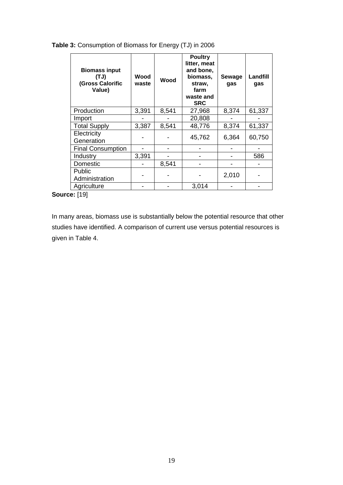#### **Table 3:** Consumption of Biomass for Energy (TJ) in 2006

| <b>Biomass input</b><br>(TJ)<br>(Gross Calorific<br>Value) | Wood<br>waste | Wood  | <b>Poultry</b><br>litter, meat<br>and bone,<br>biomass,<br>straw,<br>farm<br>waste and<br><b>SRC</b> | Sewage<br>gas | Landfill<br>gas |
|------------------------------------------------------------|---------------|-------|------------------------------------------------------------------------------------------------------|---------------|-----------------|
| Production                                                 | 3,391         | 8,541 | 27,968                                                                                               | 8,374         | 61,337          |
| Import                                                     |               |       | 20,808                                                                                               |               |                 |
| <b>Total Supply</b>                                        | 3,387         | 8,541 | 48,776                                                                                               | 8,374         | 61,337          |
| Electricity<br>Generation                                  |               |       | 45,762                                                                                               | 6,364         | 60,750          |
| <b>Final Consumption</b>                                   |               |       |                                                                                                      |               |                 |
| Industry                                                   | 3,391         |       |                                                                                                      |               | 586             |
| Domestic                                                   |               | 8,541 |                                                                                                      |               |                 |
| <b>Public</b><br>Administration                            |               |       |                                                                                                      | 2,010         |                 |
| Agriculture                                                |               |       | 3,014                                                                                                |               |                 |

**Source:** [19]

In many areas, biomass use is substantially below the potential resource that other studies have identified. A comparison of current use versus potential resources is given in Table 4.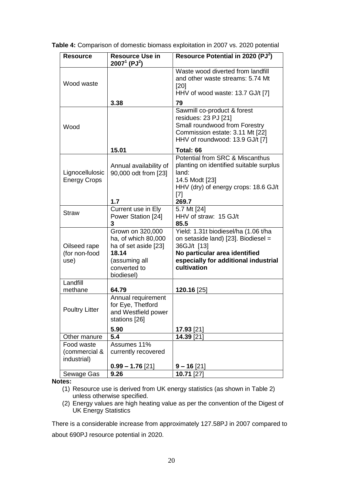|  |  | Table 4: Comparison of domestic biomass exploitation in 2007 vs. 2020 potential |  |  |  |  |
|--|--|---------------------------------------------------------------------------------|--|--|--|--|
|  |  |                                                                                 |  |  |  |  |
|  |  |                                                                                 |  |  |  |  |

| <b>Resource</b>                            | <b>Resource Use in</b><br>$2007^1$ (PJ <sup>2</sup> )                                                                   | Resource Potential in 2020 (PJ <sup>2</sup> )                                                                                                                                      |
|--------------------------------------------|-------------------------------------------------------------------------------------------------------------------------|------------------------------------------------------------------------------------------------------------------------------------------------------------------------------------|
| Wood waste                                 |                                                                                                                         | Waste wood diverted from landfill<br>and other waste streams: 5.74 Mt<br>$[20]$<br>HHV of wood waste: 13.7 GJ/t [7]                                                                |
|                                            | 3.38                                                                                                                    | 79                                                                                                                                                                                 |
| Wood                                       |                                                                                                                         | Sawmill co-product & forest<br>residues: 23 PJ [21]<br>Small roundwood from Forestry<br>Commission estate: 3.11 Mt [22]<br>HHV of roundwood: 13.9 GJ/t [7]                         |
|                                            | 15.01                                                                                                                   | Total: 66                                                                                                                                                                          |
| Lignocellulosic<br><b>Energy Crops</b>     | Annual availability of<br>90,000 odt from [23]<br>1.7                                                                   | Potential from SRC & Miscanthus<br>planting on identified suitable surplus<br>land:<br>14.5 Modt [23]<br>HHV (dry) of energy crops: 18.6 GJ/t<br>[7]<br>269.7                      |
|                                            | Current use in Ely                                                                                                      | 5.7 Mt [24]                                                                                                                                                                        |
| <b>Straw</b>                               | Power Station [24]<br>3                                                                                                 | HHV of straw: 15 GJ/t<br>85.5                                                                                                                                                      |
| Oilseed rape<br>(for non-food<br>use)      | Grown on 320,000<br>ha, of which 80,000<br>ha of set aside [23]<br>18.14<br>(assuming all<br>converted to<br>biodiesel) | Yield: 1.31t biodiesel/ha (1.06 t/ha<br>on setaside land) [23]. Biodiesel =<br>36GJ/t [13]<br>No particular area identified<br>especially for additional industrial<br>cultivation |
| Landfill                                   |                                                                                                                         |                                                                                                                                                                                    |
| methane<br><b>Poultry Litter</b>           | 64.79<br>Annual requirement<br>for Eye, Thetford<br>and Westfield power<br>stations [26]<br>5.90                        | 120.16 [25]<br>17.93 [21]                                                                                                                                                          |
| Other manure                               | 5.4                                                                                                                     | 14.39 [21]                                                                                                                                                                         |
| Food waste<br>(commercial &<br>industrial) | Assumes 11%<br>currently recovered<br>$0.99 - 1.76$ [21]                                                                | $9 - 16$ [21]                                                                                                                                                                      |
| Sewage Gas                                 | 9.26                                                                                                                    | 10.71 [27]                                                                                                                                                                         |

**Notes:**

- (1) Resource use is derived from UK energy statistics (as shown in Table 2) unless otherwise specified.
- (2) Energy values are high heating value as per the convention of the Digest of UK Energy Statistics

There is a considerable increase from approximately 127.58PJ in 2007 compared to about 690PJ resource potential in 2020.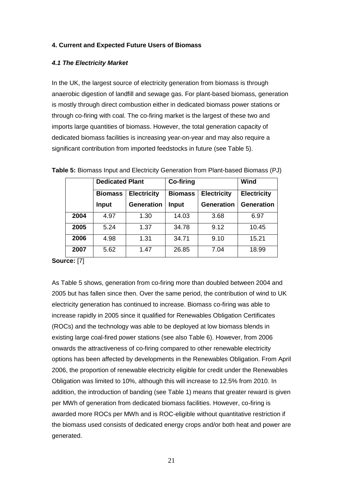#### **4. Current and Expected Future Users of Biomass**

#### *4.1 The Electricity Market*

In the UK, the largest source of electricity generation from biomass is through anaerobic digestion of landfill and sewage gas. For plant-based biomass, generation is mostly through direct combustion either in dedicated biomass power stations or through co-firing with coal. The co-firing market is the largest of these two and imports large quantities of biomass. However, the total generation capacity of dedicated biomass facilities is increasing year-on-year and may also require a significant contribution from imported feedstocks in future (see Table 5).

|      | <b>Dedicated Plant</b> |                    | Co-firing | Wind                                 |                   |
|------|------------------------|--------------------|-----------|--------------------------------------|-------------------|
|      | <b>Biomass</b>         | <b>Electricity</b> |           | <b>Electricity</b><br><b>Biomass</b> |                   |
|      | <b>Input</b>           | <b>Generation</b>  | Input     | <b>Generation</b>                    | <b>Generation</b> |
| 2004 | 4.97                   | 1.30               | 14.03     | 3.68                                 | 6.97              |
| 2005 | 5.24                   | 1.37               | 34.78     | 9.12                                 | 10.45             |
| 2006 | 4.98                   | 1.31               | 34.71     | 9.10                                 | 15.21             |
| 2007 | 5.62                   | 1.47               | 26.85     | 7.04                                 | 18.99             |

**Table 5:** Biomass Input and Electricity Generation from Plant-based Biomass (PJ)

**Source:** [7]

As Table 5 shows, generation from co-firing more than doubled between 2004 and 2005 but has fallen since then. Over the same period, the contribution of wind to UK electricity generation has continued to increase. Biomass co-firing was able to increase rapidly in 2005 since it qualified for Renewables Obligation Certificates (ROCs) and the technology was able to be deployed at low biomass blends in existing large coal-fired power stations (see also Table 6). However, from 2006 onwards the attractiveness of co-firing compared to other renewable electricity options has been affected by developments in the Renewables Obligation. From April 2006, the proportion of renewable electricity eligible for credit under the Renewables Obligation was limited to 10%, although this will increase to 12.5% from 2010. In addition, the introduction of banding (see Table 1) means that greater reward is given per MWh of generation from dedicated biomass facilities. However, co-firing is awarded more ROCs per MWh and is ROC-eligible without quantitative restriction if the biomass used consists of dedicated energy crops and/or both heat and power are generated.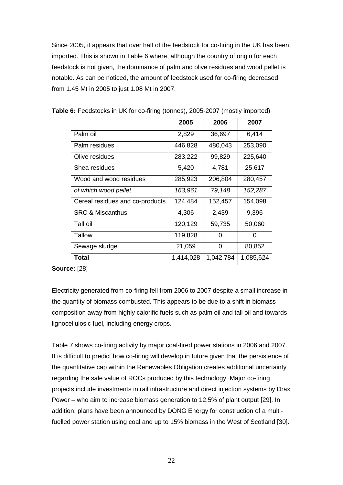Since 2005, it appears that over half of the feedstock for co-firing in the UK has been imported. This is shown in Table 6 where, although the country of origin for each feedstock is not given, the dominance of palm and olive residues and wood pellet is notable. As can be noticed, the amount of feedstock used for co-firing decreased from 1.45 Mt in 2005 to just 1.08 Mt in 2007.

|                                 | 2005      | 2006      | 2007      |
|---------------------------------|-----------|-----------|-----------|
| Palm oil                        | 2,829     | 36,697    | 6,414     |
| Palm residues                   | 446,828   | 480,043   | 253,090   |
| Olive residues                  | 283,222   | 99,829    | 225,640   |
| Shea residues                   | 5,420     | 4,781     | 25,617    |
| Wood and wood residues          | 285,923   | 206,804   | 280,457   |
| of which wood pellet            | 163,961   | 79,148    | 152,287   |
| Cereal residues and co-products | 124,484   | 152,457   | 154,098   |
| <b>SRC &amp; Miscanthus</b>     | 4,306     | 2,439     | 9,396     |
| Tall oil                        | 120,129   | 59,735    | 50,060    |
| Tallow                          | 119,828   | 0         | 0         |
| Sewage sludge                   | 21,059    | 0         | 80,852    |
| <b>Total</b>                    | 1,414,028 | 1,042,784 | 1,085,624 |

**Table 6:** Feedstocks in UK for co-firing (tonnes), 2005-2007 (mostly imported)

**Source:** [28]

Electricity generated from co-firing fell from 2006 to 2007 despite a small increase in the quantity of biomass combusted. This appears to be due to a shift in biomass composition away from highly calorific fuels such as palm oil and tall oil and towards lignocellulosic fuel, including energy crops.

Table 7 shows co-firing activity by major coal-fired power stations in 2006 and 2007. It is difficult to predict how co-firing will develop in future given that the persistence of the quantitative cap within the Renewables Obligation creates additional uncertainty regarding the sale value of ROCs produced by this technology. Major co-firing projects include investments in rail infrastructure and direct injection systems by Drax Power – who aim to increase biomass generation to 12.5% of plant output [29]. In addition, plans have been announced by DONG Energy for construction of a multifuelled power station using coal and up to 15% biomass in the West of Scotland [30].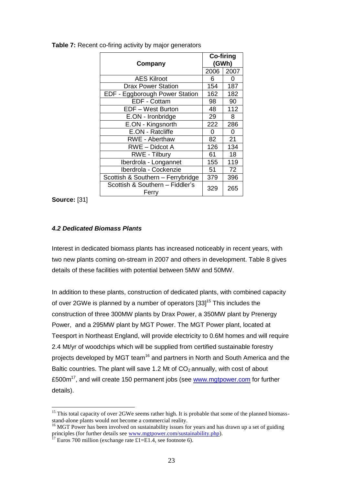| Company                                  | Co-firing<br>(GWh) |                  |  |
|------------------------------------------|--------------------|------------------|--|
|                                          | 2006               | 2007             |  |
| <b>AES Kilroot</b>                       | 6                  | 0                |  |
| <b>Drax Power Station</b>                | 154                | 187              |  |
| EDF - Eggborough Power Station           | 162                | 182              |  |
| EDF - Cottam                             | 98                 | 90               |  |
| EDF - West Burton                        | 48                 | $\overline{1}12$ |  |
| E.ON - Ironbridge                        | 29                 | 8                |  |
| E.ON - Kingsnorth                        | 222                | 286              |  |
| E.ON - Ratcliffe                         | $\Omega$           | 0                |  |
| <b>RWE - Aberthaw</b>                    | 82                 | 21               |  |
| <b>RWE</b> - Didcot A                    | 126                | 134              |  |
| RWE - Tilbury                            | 61                 | 18               |  |
| Iberdrola - Longannet                    | 155                | 119              |  |
| Iberdrola - Cockenzie                    | 51                 | 72               |  |
| Scottish & Southern - Ferrybridge        | 379                | 396              |  |
| Scottish & Southern - Fiddler's<br>Ferry | 329                | 265              |  |

**Table 7:** Recent co-firing activity by major generators

**Source:** [31]

<u>.</u>

#### *4.2 Dedicated Biomass Plants*

Interest in dedicated biomass plants has increased noticeably in recent years, with two new plants coming on-stream in 2007 and others in development. Table 8 gives details of these facilities with potential between 5MW and 50MW.

In addition to these plants, construction of dedicated plants, with combined capacity of over 2GWe is planned by a number of operators [33]<sup>15</sup> This includes the construction of three 300MW plants by Drax Power, a 350MW plant by Prenergy Power, and a 295MW plant by MGT Power. The MGT Power plant, located at Teesport in Northeast England, will provide electricity to 0.6M homes and will require 2.4 Mt/yr of woodchips which will be supplied from certified sustainable forestry projects developed by MGT team<sup>16</sup> and partners in North and South America and the Baltic countries. The plant will save 1.2 Mt of  $CO<sub>2</sub>$  annually, with cost of about £500m<sup>17</sup>, and will create 150 permanent jobs (see [www.mgtpower.com](http://www.mgtpower.com/) for further details).

<sup>&</sup>lt;sup>15</sup> This total capacity of over 2GWe seems rather high. It is probable that some of the planned biomassstand-alone plants would not become a commercial reality.

<sup>&</sup>lt;sup>16</sup> MGT Power has been involved on sustainability issues for years and has drawn up a set of guiding principles (for further details see <u>www.mgtpower.com/sustaina</u>bility.php).

<sup>&</sup>lt;sup>17</sup> Euros 700 million (exchange rate £1=E1.4, see footnote 6).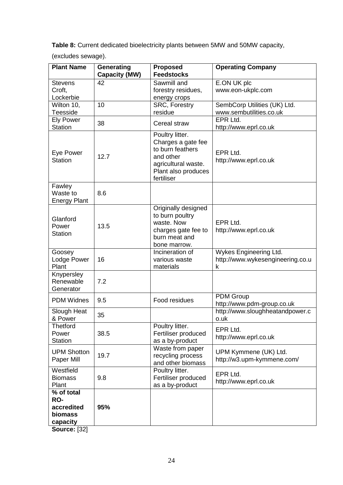**Table 8:** Current dedicated bioelectricity plants between 5MW and 50MW capacity,

(excludes sewage).

| <b>Plant Name</b>                                      | Generating<br><b>Capacity (MW)</b> | <b>Proposed</b><br><b>Feedstocks</b>                                                                                               | <b>Operating Company</b>                                        |
|--------------------------------------------------------|------------------------------------|------------------------------------------------------------------------------------------------------------------------------------|-----------------------------------------------------------------|
| <b>Stevens</b><br>Croft,<br>Lockerbie                  | 42                                 | Sawmill and<br>forestry residues,<br>energy crops                                                                                  | E.ON UK plc<br>www.eon-ukplc.com                                |
| Wilton 10,<br>Teesside                                 | 10                                 | <b>SRC, Forestry</b><br>residue                                                                                                    | SembCorp Utilities (UK) Ltd.<br>www.sembutilities.co.uk         |
| <b>Ely Power</b><br><b>Station</b>                     | 38                                 | Cereal straw                                                                                                                       | EPR Ltd.<br>http://www.eprl.co.uk                               |
| Eye Power<br><b>Station</b>                            | 12.7                               | Poultry litter.<br>Charges a gate fee<br>to burn feathers<br>and other<br>agricultural waste.<br>Plant also produces<br>fertiliser | EPR Ltd.<br>http://www.eprl.co.uk                               |
| Fawley<br>Waste to<br><b>Energy Plant</b>              | 8.6                                |                                                                                                                                    |                                                                 |
| Glanford<br>Power<br><b>Station</b>                    | 13.5                               | Originally designed<br>to burn poultry<br>waste. Now<br>charges gate fee to<br>burn meat and<br>bone marrow.                       | EPR Ltd.<br>http://www.eprl.co.uk                               |
| Goosey<br>Lodge Power<br>Plant                         | 16                                 | Incineration of<br>various waste<br>materials                                                                                      | Wykes Engineering Ltd.<br>http://www.wykesengineering.co.u<br>k |
| Knypersley<br>Renewable<br>Generator                   | 7.2                                |                                                                                                                                    |                                                                 |
| <b>PDM Widnes</b>                                      | 9.5                                | Food residues                                                                                                                      | <b>PDM Group</b><br>http://www.pdm-group.co.uk                  |
| Slough Heat<br>& Power                                 | 35                                 |                                                                                                                                    | http://www.sloughheatandpower.c<br>o.uk                         |
| <b>Thetford</b><br>Power<br><b>Station</b>             | 38.5                               | Poultry litter.<br>Fertiliser produced<br>as a by-product                                                                          | EPR Ltd.<br>http://www.eprl.co.uk                               |
| <b>UPM Shotton</b><br>Paper Mill                       | 19.7                               | Waste from paper<br>recycling process<br>and other biomass                                                                         | UPM Kymmene (UK) Ltd.<br>http://w3.upm-kymmene.com/             |
| Westfield<br><b>Biomass</b><br>Plant                   | 9.8                                | Poultry litter.<br>Fertiliser produced<br>as a by-product                                                                          | EPR Ltd.<br>http://www.eprl.co.uk                               |
| % of total<br>RO-<br>accredited<br>biomass<br>capacity | 95%                                |                                                                                                                                    |                                                                 |

**Source:** [32]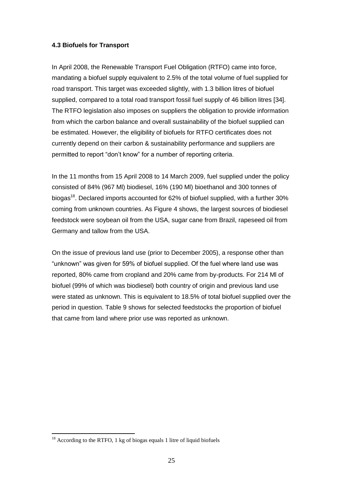#### **4.3 Biofuels for Transport**

In April 2008, the Renewable Transport Fuel Obligation (RTFO) came into force, mandating a biofuel supply equivalent to 2.5% of the total volume of fuel supplied for road transport. This target was exceeded slightly, with 1.3 billion litres of biofuel supplied, compared to a total road transport fossil fuel supply of 46 billion litres [34]. The RTFO legislation also imposes on suppliers the obligation to provide information from which the carbon balance and overall sustainability of the biofuel supplied can be estimated. However, the eligibility of biofuels for RTFO certificates does not currently depend on their carbon & sustainability performance and suppliers are permitted to report "don"t know" for a number of reporting criteria.

In the 11 months from 15 April 2008 to 14 March 2009, fuel supplied under the policy consisted of 84% (967 Ml) biodiesel, 16% (190 Ml) bioethanol and 300 tonnes of biogas<sup>18</sup>. Declared imports accounted for 62% of biofuel supplied, with a further 30% coming from unknown countries. As Figure 4 shows, the largest sources of biodiesel feedstock were soybean oil from the USA, sugar cane from Brazil, rapeseed oil from Germany and tallow from the USA.

On the issue of previous land use (prior to December 2005), a response other than "unknown" was given for 59% of biofuel supplied. Of the fuel where land use was reported, 80% came from cropland and 20% came from by-products. For 214 Ml of biofuel (99% of which was biodiesel) both country of origin and previous land use were stated as unknown. This is equivalent to 18.5% of total biofuel supplied over the period in question. Table 9 shows for selected feedstocks the proportion of biofuel that came from land where prior use was reported as unknown.

1

<sup>&</sup>lt;sup>18</sup> According to the RTFO, 1 kg of biogas equals 1 litre of liquid biofuels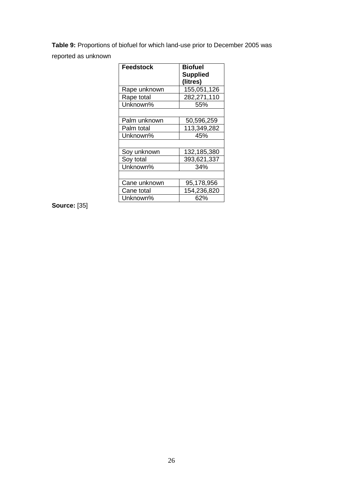**Table 9:** Proportions of biofuel for which land-use prior to December 2005 was reported as unknown

| Feedstock    | <b>Biofuel</b>  |  |  |  |
|--------------|-----------------|--|--|--|
|              |                 |  |  |  |
|              | <b>Supplied</b> |  |  |  |
|              | (litres)        |  |  |  |
| Rape unknown | 155,051,126     |  |  |  |
| Rape total   | 282,271,110     |  |  |  |
| Unknown%     | 55%             |  |  |  |
|              |                 |  |  |  |
| Palm unknown | 50,596,259      |  |  |  |
| Palm total   | 113,349,282     |  |  |  |
| Unknown%     | 45%             |  |  |  |
|              |                 |  |  |  |
| Soy unknown  | 132,185,380     |  |  |  |
| Soy total    | 393,621,337     |  |  |  |
| Unknown%     | 34%             |  |  |  |
|              |                 |  |  |  |
| Cane unknown | 95,178,956      |  |  |  |
| Cane total   | 154,236,820     |  |  |  |
| Unknown%     | 62%             |  |  |  |

#### **Source:** [35]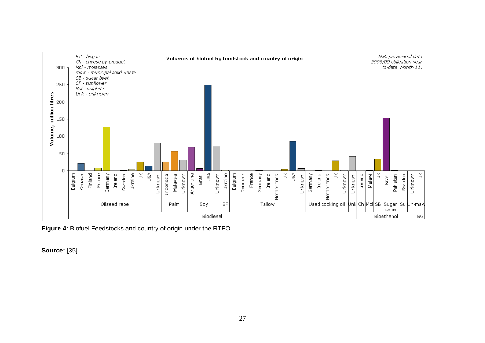

**Figure 4:** Biofuel Feedstocks and country of origin under the RTFO

**Source:** [35]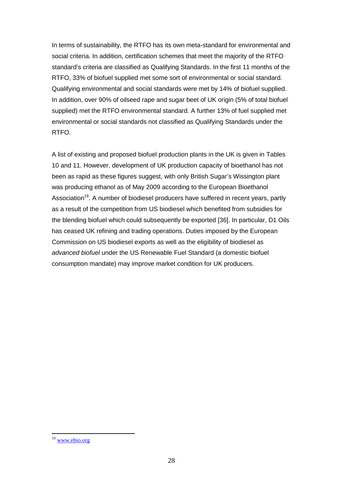In terms of sustainability, the RTFO has its own meta-standard for environmental and social criteria. In addition, certification schemes that meet the majority of the RTFO standard"s criteria are classified as Qualifying Standards. In the first 11 months of the RTFO, 33% of biofuel supplied met some sort of environmental or social standard. Qualifying environmental and social standards were met by 14% of biofuel supplied. In addition, over 90% of oilseed rape and sugar beet of UK origin (5% of total biofuel supplied) met the RTFO environmental standard. A further 13% of fuel supplied met environmental or social standards not classified as Qualifying Standards under the RTFO.

A list of existing and proposed biofuel production plants in the UK is given in Tables 10 and 11. However, development of UK production capacity of bioethanol has not been as rapid as these figures suggest, with only British Sugar's Wissington plant was producing ethanol as of May 2009 according to the European Bioethanol Association<sup>19</sup>. A number of biodiesel producers have suffered in recent years, partly as a result of the competition from US biodiesel which benefited from subsidies for the blending biofuel which could subsequently be exported [36]. In particular, D1 Oils has ceased UK refining and trading operations. Duties imposed by the European Commission on US biodiesel exports as well as the eligibility of biodiesel as *advanced biofuel* under the US Renewable Fuel Standard (a domestic biofuel consumption mandate) may improve market condition for UK producers.

1

<sup>&</sup>lt;sup>19</sup> [www.ebio.org](http://www.ebio.org/)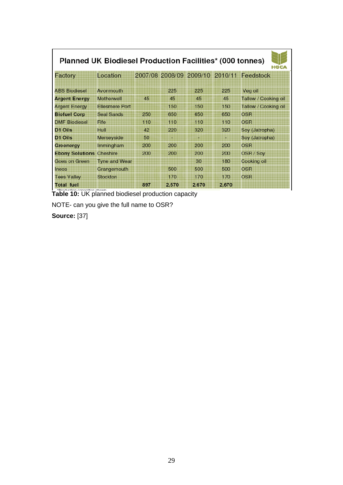| <b>Planned UK Biodiesel Production Facilities* (000 tonnes)</b><br>HGCA |                       |     |       |                         |         |                      |  |
|-------------------------------------------------------------------------|-----------------------|-----|-------|-------------------------|---------|----------------------|--|
| Factory                                                                 | Location              |     |       | 2007/08 2008/09 2009/10 | 2010/11 | Feedstock            |  |
| <b>ABS Biodiesel</b>                                                    | Avonmouth             |     | 225   | 225                     | 225     | Veg oil              |  |
| <b>Argent Energy</b>                                                    | Motherwell            | 45  | 45    | 45                      | 45      | Tallow / Cooking oil |  |
| <b>Argent Energy</b>                                                    | <b>Ellesmere Port</b> |     | 150   | 150                     | 150     | Tallow / Cooking oil |  |
| <b>Biofuel Corp</b>                                                     | <b>Seal Sands</b>     | 250 | 650   | 650                     | 650     | <b>OSR</b>           |  |
| <b>DMF Biodiesel</b>                                                    | Fife                  | 110 | 110   | 110                     | 110     | OSR                  |  |
| D1 Oils                                                                 | Hull                  | 42  | 220   | 320                     | 320     | Soy (Jatropha)       |  |
| D1 Oils                                                                 | Merseyside            | 50  |       |                         |         | Soy (Jatropha)       |  |
| Greenergy                                                               | Immingham             | 200 | 200   | 200                     | 200     | OSR                  |  |
| <b>Ebony Solutions</b>                                                  | Cheshire              | 200 | 200   | 200                     | 200     | OSR / Soy            |  |
| Goes on Green                                                           | <b>Tyne and Wear</b>  |     |       | 30                      | 180     | Cooking oil          |  |
| Ineos                                                                   | Grangemouth           |     | 500   | 500                     | 500     | <b>OSR</b>           |  |
| <b>Tees Valley</b>                                                      | <b>Stockton</b>       |     | 170   | 170                     | 170     | <b>OSR</b>           |  |
| <b>Total fuel</b>                                                       |                       | 897 | 2,570 | 2.670                   | 2,670   |                      |  |

**Table 10:** UK planned biodiesel production capacity

NOTE- can you give the full name to OSR?

**Source:** [37]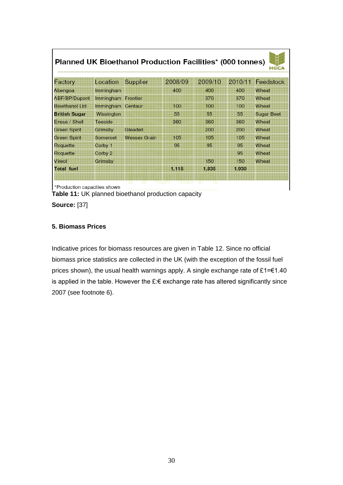| Factory               | Location   | Supplier            | 2008/09 | 2009/10 | 2010/11 | Feedstock         |
|-----------------------|------------|---------------------|---------|---------|---------|-------------------|
| Abengoa               | Immingham  |                     | 400     | 400     | 400     | Wheat             |
| <b>ABF/BP/Dupont</b>  | Immingham  | Frontier            |         | 370     | 370     | Wheat             |
| <b>Bioethanol Ltd</b> | Immingham  | Centaur             | 100     | 100     | 100     | Wheat             |
| <b>British Sugar</b>  | Wissington |                     | 55      | 55      | 55      | <b>Sugar Beet</b> |
| Ensus / Shell         | Teeside    |                     | 360     | 360     | 360     | Wheat             |
| <b>Green Spirit</b>   | Grimsby    | Gleadell            |         | 200     | 200     | Wheat             |
| <b>Green Spirit</b>   | Somerset   | <b>Wessex Grain</b> | 105     | 105     | 105     | Wheat             |
| Roquette              | Corby 1    |                     | 95      | 95      | 95      | Wheat             |
| Roquette              | Corby 2    |                     |         |         | 95      | Wheat             |
| Vireol                | Grimsby    |                     |         | 150     | 150     | Wheat             |
| <b>Total fuel</b>     |            |                     | 1,115   | 1,835   | 1.930   |                   |

**Table 11:** UK planned bioethanol production capacity

**Source:** [37]

г

#### **5. Biomass Prices**

Indicative prices for biomass resources are given in Table 12. Since no official biomass price statistics are collected in the UK (with the exception of the fossil fuel prices shown), the usual health warnings apply. A single exchange rate of £1=€1.40 is applied in the table. However the £:€ exchange rate has altered significantly since 2007 (see footnote 6).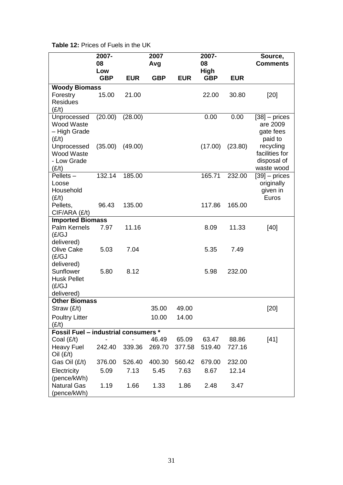| <b>Table 12: Prices of Fuels in the UK</b> |  |  |  |  |  |  |  |  |
|--------------------------------------------|--|--|--|--|--|--|--|--|
|--------------------------------------------|--|--|--|--|--|--|--|--|

|                                             | 2007-<br>08 |            | 2007<br>Avg |            | 2007-<br>08 |            | Source,<br><b>Comments</b>  |
|---------------------------------------------|-------------|------------|-------------|------------|-------------|------------|-----------------------------|
|                                             | Low         |            |             |            | <b>High</b> |            |                             |
|                                             | <b>GBP</b>  | <b>EUR</b> | <b>GBP</b>  | <b>EUR</b> | <b>GBP</b>  | <b>EUR</b> |                             |
| <b>Woody Biomass</b>                        |             |            |             |            |             |            |                             |
| Forestry                                    | 15.00       | 21.00      |             |            | 22.00       | 30.80      | $[20]$                      |
| <b>Residues</b><br>(E/t)                    |             |            |             |            |             |            |                             |
| Unprocessed                                 | (20.00)     | (28.00)    |             |            | 0.00        | 0.00       |                             |
| Wood Waste                                  |             |            |             |            |             |            | $[38]$ – prices<br>are 2009 |
| - High Grade                                |             |            |             |            |             |            | gate fees                   |
| (E/t)                                       |             |            |             |            |             |            | paid to                     |
| Unprocessed                                 | (35.00)     | (49.00)    |             |            | (17.00)     | (23.80)    | recycling                   |
| Wood Waste                                  |             |            |             |            |             |            | facilities for              |
| - Low Grade                                 |             |            |             |            |             |            | disposal of                 |
| (E/t)                                       |             |            |             |            |             |            | waste wood                  |
| $P$ ellets $-$                              | 132.14      | 185.00     |             |            | 165.71      | 232.00     | $[39]$ – prices             |
| Loose                                       |             |            |             |            |             |            | originally                  |
| Household                                   |             |            |             |            |             |            | given in                    |
| (E/t)                                       |             |            |             |            |             |            | Euros                       |
| Pellets,                                    | 96.43       | 135.00     |             |            | 117.86      | 165.00     |                             |
| CIF/ARA (£/t)                               |             |            |             |            |             |            |                             |
| <b>Imported Biomass</b>                     |             |            |             |            |             |            |                             |
| Palm Kernels                                | 7.97        | 11.16      |             |            | 8.09        | 11.33      | $[40]$                      |
| (£/GJ                                       |             |            |             |            |             |            |                             |
| delivered)                                  |             |            |             |            |             |            |                             |
| <b>Olive Cake</b>                           | 5.03        | 7.04       |             |            | 5.35        | 7.49       |                             |
| (E/GJ)                                      |             |            |             |            |             |            |                             |
| delivered)                                  |             |            |             |            |             |            |                             |
| Sunflower<br><b>Husk Pellet</b>             | 5.80        | 8.12       |             |            | 5.98        | 232.00     |                             |
| (E/GJ)                                      |             |            |             |            |             |            |                             |
| delivered)                                  |             |            |             |            |             |            |                             |
| <b>Other Biomass</b>                        |             |            |             |            |             |            |                             |
| Straw (£/t)                                 |             |            | 35.00       | 49.00      |             |            | $[20]$                      |
| <b>Poultry Litter</b>                       |             |            | 10.00       | 14.00      |             |            |                             |
| (E/t)                                       |             |            |             |            |             |            |                             |
| <b>Fossil Fuel - industrial consumers *</b> |             |            |             |            |             |            |                             |
| Coal $(E/t)$                                |             |            | 46.49       | 65.09      | 63.47       | 88.86      | $[41]$                      |
| <b>Heavy Fuel</b>                           | 242.40      | 339.36     | 269.70      | 377.58     | 519.40      | 727.16     |                             |
| $Oil$ (£/t)                                 |             |            |             |            |             |            |                             |
| Gas Oil (£/t)                               | 376.00      | 526.40     | 400.30      | 560.42     | 679.00      | 232.00     |                             |
| Electricity                                 | 5.09        | 7.13       | 5.45        | 7.63       | 8.67        | 12.14      |                             |
| (pence/kWh)                                 |             |            |             |            |             |            |                             |
| <b>Natural Gas</b>                          | 1.19        | 1.66       | 1.33        | 1.86       | 2.48        | 3.47       |                             |
| (pence/kWh)                                 |             |            |             |            |             |            |                             |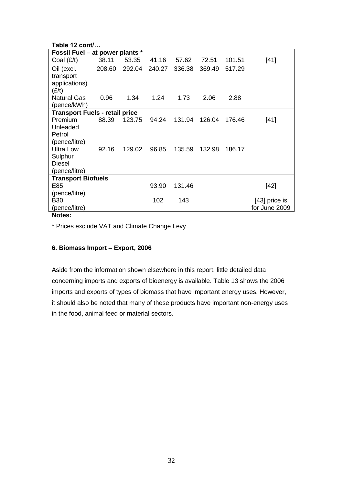| Table 12 cont/                        |        |        |        |        |        |        |                 |  |
|---------------------------------------|--------|--------|--------|--------|--------|--------|-----------------|--|
| Fossil Fuel – at power plants *       |        |        |        |        |        |        |                 |  |
| Coal $(E/t)$                          | 38.11  | 53.35  | 41.16  | 57.62  | 72.51  | 101.51 | $[41]$          |  |
| Oil (excl.                            | 208.60 | 292.04 | 240.27 | 336.38 | 369.49 | 517.29 |                 |  |
| transport                             |        |        |        |        |        |        |                 |  |
| applications)                         |        |        |        |        |        |        |                 |  |
| (E/t)                                 |        | 1.34   | 1.24   |        |        |        |                 |  |
| <b>Natural Gas</b><br>(pence/kWh)     | 0.96   |        |        | 1.73   | 2.06   | 2.88   |                 |  |
| <b>Transport Fuels - retail price</b> |        |        |        |        |        |        |                 |  |
| <b>Premium</b>                        | 88.39  | 123.75 | 94.24  | 131.94 | 126.04 | 176.46 | $[41]$          |  |
| Unleaded                              |        |        |        |        |        |        |                 |  |
| Petrol                                |        |        |        |        |        |        |                 |  |
| (pence/litre)                         |        |        |        |        |        |        |                 |  |
| <b>Ultra Low</b>                      | 92.16  | 129.02 | 96.85  | 135.59 | 132.98 | 186.17 |                 |  |
| Sulphur                               |        |        |        |        |        |        |                 |  |
| <b>Diesel</b>                         |        |        |        |        |        |        |                 |  |
| (pence/litre)                         |        |        |        |        |        |        |                 |  |
| <b>Transport Biofuels</b>             |        |        |        |        |        |        |                 |  |
| E85                                   |        |        | 93.90  | 131.46 |        |        | $[42]$          |  |
| (pence/litre)                         |        |        |        |        |        |        |                 |  |
| <b>B30</b>                            |        |        | 102    | 143    |        |        | $[43]$ price is |  |
| (pence/litre)                         |        |        |        |        |        |        | for June 2009   |  |
| Notes:                                |        |        |        |        |        |        |                 |  |

\* Prices exclude VAT and Climate Change Levy

#### **6. Biomass Import – Export, 2006**

Aside from the information shown elsewhere in this report, little detailed data concerning imports and exports of bioenergy is available. Table 13 shows the 2006 imports and exports of types of biomass that have important energy uses. However, it should also be noted that many of these products have important non-energy uses in the food, animal feed or material sectors.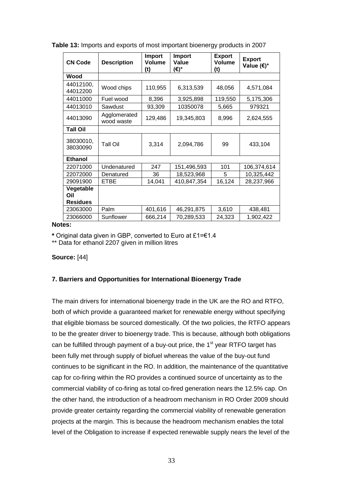| <b>CN Code</b>                      | <b>Description</b>         | <b>Import</b><br><b>Volume</b><br>(t) | Import<br>Value<br>(€)* | <b>Export</b><br><b>Volume</b><br>(t) | <b>Export</b><br>Value (€)* |  |
|-------------------------------------|----------------------------|---------------------------------------|-------------------------|---------------------------------------|-----------------------------|--|
| Wood                                |                            |                                       |                         |                                       |                             |  |
| 44012100,<br>44012200               | Wood chips                 | 110,955                               | 6,313,539               | 48,056                                | 4,571,084                   |  |
| 44011000                            | Fuel wood                  | 8,396                                 | 3,925,898               | 119,550                               | 5,175,306                   |  |
| 44013010                            | Sawdust                    | 93,309                                | 10350078                | 5,665                                 | 979321                      |  |
| 44013090                            | Agglomerated<br>wood waste | 129,486                               | 19,345,803              | 8,996                                 | 2,624,555                   |  |
| <b>Tall Oil</b>                     |                            |                                       |                         |                                       |                             |  |
| 38030010,<br>38030090               | Tall Oil                   | 3,314                                 | 2,094,786               | 99                                    | 433,104                     |  |
| <b>Ethanol</b>                      |                            |                                       |                         |                                       |                             |  |
| 22071000                            | Undenatured                | 247                                   | 151,496,593             | 101                                   | 106,374,614                 |  |
| 22072000                            | Denatured                  | 36                                    | 18,523,968              | 5                                     | 10,325,442                  |  |
| 29091900                            | <b>ETBE</b>                | 14,041                                | 410,847,354             | 16,124                                | 28,237,966                  |  |
| Vegetable<br>Oil<br><b>Residues</b> |                            |                                       |                         |                                       |                             |  |
| 23063000                            | Palm                       | 401,616                               | 46,291,875              | 3,610                                 | 438,481                     |  |
| 23066000                            | Sunflower                  | 666,214                               | 70,289,533              | 24,323                                | 1,902,422                   |  |

**Table 13:** Imports and exports of most important bioenergy products in 2007

#### **Notes:**

**\*** Original data given in GBP, converted to Euro at £1=€1.4

\*\* Data for ethanol 2207 given in million litres

#### **Source:** [44]

#### **7. Barriers and Opportunities for International Bioenergy Trade**

The main drivers for international bioenergy trade in the UK are the RO and RTFO, both of which provide a guaranteed market for renewable energy without specifying that eligible biomass be sourced domestically. Of the two policies, the RTFO appears to be the greater driver to bioenergy trade. This is because, although both obligations can be fulfilled through payment of a buy-out price, the  $1<sup>st</sup>$  year RTFO target has been fully met through supply of biofuel whereas the value of the buy-out fund continues to be significant in the RO. In addition, the maintenance of the quantitative cap for co-firing within the RO provides a continued source of uncertainty as to the commercial viability of co-firing as total co-fired generation nears the 12.5% cap. On the other hand, the introduction of a headroom mechanism in RO Order 2009 should provide greater certainty regarding the commercial viability of renewable generation projects at the margin. This is because the headroom mechanism enables the total level of the Obligation to increase if expected renewable supply nears the level of the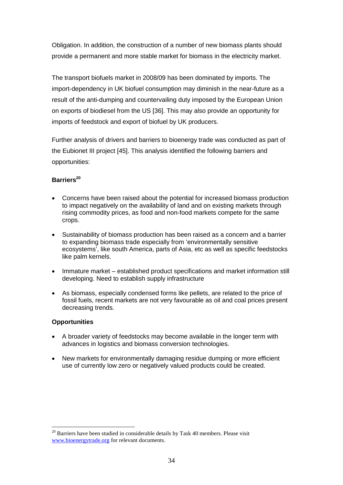Obligation. In addition, the construction of a number of new biomass plants should provide a permanent and more stable market for biomass in the electricity market.

The transport biofuels market in 2008/09 has been dominated by imports. The import-dependency in UK biofuel consumption may diminish in the near-future as a result of the anti-dumping and countervailing duty imposed by the European Union on exports of biodiesel from the US [36]. This may also provide an opportunity for imports of feedstock and export of biofuel by UK producers.

Further analysis of drivers and barriers to bioenergy trade was conducted as part of the Eubionet III project [45]. This analysis identified the following barriers and opportunities:

#### **Barriers<sup>20</sup>**

- Concerns have been raised about the potential for increased biomass production to impact negatively on the availability of land and on existing markets through rising commodity prices, as food and non-food markets compete for the same crops.
- Sustainability of biomass production has been raised as a concern and a barrier to expanding biomass trade especially from "environmentally sensitive ecosystems", like south America, parts of Asia, etc as well as specific feedstocks like palm kernels.
- Immature market established product specifications and market information still developing. Need to establish supply infrastructure
- As biomass, especially condensed forms like pellets, are related to the price of fossil fuels, recent markets are not very favourable as oil and coal prices present decreasing trends.

#### **Opportunities**

- A broader variety of feedstocks may become available in the longer term with advances in logistics and biomass conversion technologies.
- New markets for environmentally damaging residue dumping or more efficient use of currently low zero or negatively valued products could be created.

<sup>1</sup>  $20$  Barriers have been studied in considerable details by Task 40 members. Please visit [www.bioenergytrade.org](http://www.bioenergytrade.org/) for relevant documents.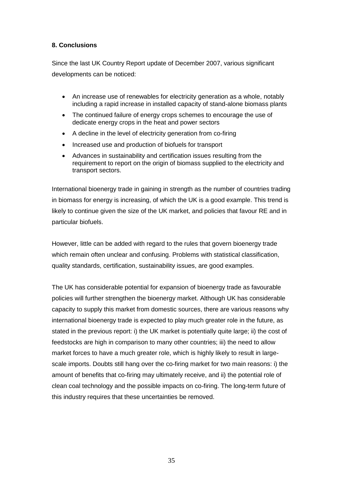#### **8. Conclusions**

Since the last UK Country Report update of December 2007, various significant developments can be noticed:

- An increase use of renewables for electricity generation as a whole, notably including a rapid increase in installed capacity of stand-alone biomass plants
- The continued failure of energy crops schemes to encourage the use of dedicate energy crops in the heat and power sectors
- A decline in the level of electricity generation from co-firing
- Increased use and production of biofuels for transport
- Advances in sustainability and certification issues resulting from the requirement to report on the origin of biomass supplied to the electricity and transport sectors.

International bioenergy trade in gaining in strength as the number of countries trading in biomass for energy is increasing, of which the UK is a good example. This trend is likely to continue given the size of the UK market, and policies that favour RE and in particular biofuels.

However, little can be added with regard to the rules that govern bioenergy trade which remain often unclear and confusing. Problems with statistical classification, quality standards, certification, sustainability issues, are good examples.

The UK has considerable potential for expansion of bioenergy trade as favourable policies will further strengthen the bioenergy market. Although UK has considerable capacity to supply this market from domestic sources, there are various reasons why international bioenergy trade is expected to play much greater role in the future, as stated in the previous report: i) the UK market is potentially quite large; ii) the cost of feedstocks are high in comparison to many other countries; iii) the need to allow market forces to have a much greater role, which is highly likely to result in largescale imports. Doubts still hang over the co-firing market for two main reasons: i) the amount of benefits that co-firing may ultimately receive, and ii) the potential role of clean coal technology and the possible impacts on co-firing. The long-term future of this industry requires that these uncertainties be removed.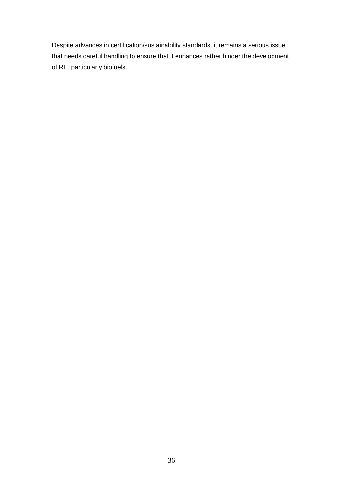Despite advances in certification/sustainability standards, it remains a serious issue that needs careful handling to ensure that it enhances rather hinder the development of RE, particularly biofuels.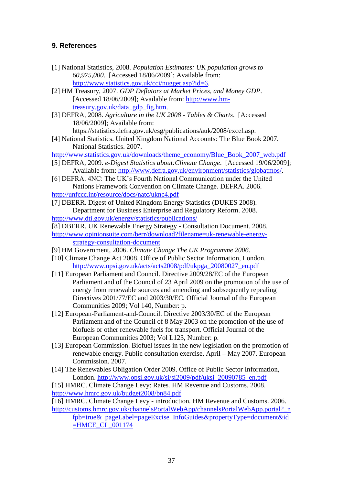#### **9. References**

- [1] National Statistics, 2008. *Population Estimates: UK population grows to 60,975,000*. [Accessed 18/06/2009]; Available from: [http://www.statistics.gov.uk/cci/nugget.asp?id=6.](http://www.statistics.gov.uk/cci/nugget.asp?id=6)
- [2] HM Treasury, 2007. *GDP Deflators at Market Prices, and Money GDP*. [Accessed 18/06/2009]; Available from: [http://www.hm](http://www.hm-treasury.gov.uk/data_gdp_fig.htm)[treasury.gov.uk/data\\_gdp\\_fig.htm.](http://www.hm-treasury.gov.uk/data_gdp_fig.htm)
- [3] DEFRA, 2008. *Agriculture in the UK 2008 - Tables & Charts*. [Accessed 18/06/2009]; Available from:

https://statistics.defra.gov.uk/esg/publications/auk/2008/excel.asp.

[4] National Statistics. United Kingdom National Accounts: The Blue Book 2007*.* National Statistics. 2007.

[http://www.statistics.gov.uk/downloads/theme\\_economy/Blue\\_Book\\_2007\\_web.pdf](http://www.statistics.gov.uk/downloads/theme_economy/Blue_Book_2007_web.pdf)

- [5] DEFRA, 2009. *e-Digest Statistics about:Climate Change*. [Accessed 19/06/2009]; Available from: [http://www.defra.gov.uk/environment/statistics/globatmos/.](http://www.defra.gov.uk/environment/statistics/globatmos/)
- [6] DEFRA. 4NC: The UK's Fourth National Communication under the United Nations Framework Convention on Climate Change*.* DEFRA. 2006. <http://unfccc.int/resource/docs/natc/uknc4.pdf>
- [7] DBERR. Digest of United Kingdom Energy Statistics (DUKES 2008)*.* Department for Business Enterprise and Regulatory Reform. 2008. <http://www.dti.gov.uk/energy/statistics/publications/>
- [8] DBERR. UK Renewable Energy Strategy Consultation Document*.* 2008.
- [http://www.opinionsuite.com/berr/download?filename=uk-renewable-energy](http://www.opinionsuite.com/berr/download?filename=uk-renewable-energy-strategy-consultation-document)[strategy-consultation-document](http://www.opinionsuite.com/berr/download?filename=uk-renewable-energy-strategy-consultation-document)
- [9] HM Government, 2006. *Climate Change The UK Programme 2006.*
- [10] Climate Change Act 2008. Office of Public Sector Information, London. [http://www.opsi.gov.uk/acts/acts2008/pdf/ukpga\\_20080027\\_en.pdf](http://www.opsi.gov.uk/acts/acts2008/pdf/ukpga_20080027_en.pdf)
- [11] European Parliament and Council. Directive 2009/28/EC of the European Parliament and of the Council of 23 April 2009 on the promotion of the use of energy from renewable sources and amending and subsequently repealing Directives 2001/77/EC and 2003/30/EC*.* Official Journal of the European Communities 2009; Vol 140, Number: p.
- [12] European-Parliament-and-Council. Directive 2003/30/EC of the European Parliament and of the Council of 8 May 2003 on the promotion of the use of biofuels or other renewable fuels for transport*.* Official Journal of the European Communities 2003; Vol L123, Number: p.
- [13] European Commission. Biofuel issues in the new legislation on the promotion of renewable energy. Public consultation exercise, April – May 2007*.* European Commission. 2007.
- [14] The Renewables Obligation Order 2009. Office of Public Sector Information, London. [http://www.opsi.gov.uk/si/si2009/pdf/uksi\\_20090785\\_en.pdf](http://www.opsi.gov.uk/si/si2009/pdf/uksi_20090785_en.pdf)
- [15] HMRC. Climate Change Levy: Rates*.* HM Revenue and Customs. 2008. <http://www.hmrc.gov.uk/budget2008/bn84.pdf>

[16] HMRC. Climate Change Levy - introduction*.* HM Revenue and Customs. 2006. [http://customs.hmrc.gov.uk/channelsPortalWebApp/channelsPortalWebApp.portal?\\_n](http://customs.hmrc.gov.uk/channelsPortalWebApp/channelsPortalWebApp.portal?_nfpb=true&_pageLabel=pageExcise_InfoGuides&propertyType=document&id=HMCE_CL_001174)

[fpb=true&\\_pageLabel=pageExcise\\_InfoGuides&propertyType=document&id](http://customs.hmrc.gov.uk/channelsPortalWebApp/channelsPortalWebApp.portal?_nfpb=true&_pageLabel=pageExcise_InfoGuides&propertyType=document&id=HMCE_CL_001174) [=HMCE\\_CL\\_001174](http://customs.hmrc.gov.uk/channelsPortalWebApp/channelsPortalWebApp.portal?_nfpb=true&_pageLabel=pageExcise_InfoGuides&propertyType=document&id=HMCE_CL_001174)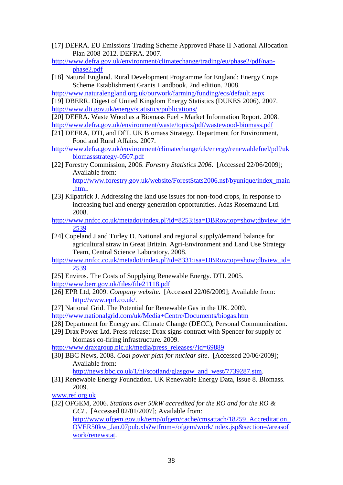[17] DEFRA. EU Emissions Trading Scheme Approved Phase II National Allocation Plan 2008-2012*.* DEFRA. 2007.

[http://www.defra.gov.uk/environment/climatechange/trading/eu/phase2/pdf/nap](http://www.defra.gov.uk/environment/climatechange/trading/eu/phase2/pdf/nap-phase2.pdf)[phase2.pdf](http://www.defra.gov.uk/environment/climatechange/trading/eu/phase2/pdf/nap-phase2.pdf)

[18] Natural England. Rural Development Programme for England: Energy Crops Scheme Establishment Grants Handbook, 2nd edition*.* 2008.

<http://www.naturalengland.org.uk/ourwork/farming/funding/ecs/default.aspx>

[19] DBERR. Digest of United Kingdom Energy Statistics (DUKES 2006)*.* 2007. <http://www.dti.gov.uk/energy/statistics/publications/>

[20] DEFRA. Waste Wood as a Biomass Fuel - Market Information Report*.* 2008. <http://www.defra.gov.uk/environment/waste/topics/pdf/wastewood-biomass.pdf>

- [21] DEFRA, DTI, and DfT. UK Biomass Strategy*.* Department for Environment, Food and Rural Affairs. 2007.
- [http://www.defra.gov.uk/environment/climatechange/uk/energy/renewablefuel/pdf/uk](http://www.defra.gov.uk/environment/climatechange/uk/energy/renewablefuel/pdf/ukbiomassstrategy-0507.pdf) [biomassstrategy-0507.pdf](http://www.defra.gov.uk/environment/climatechange/uk/energy/renewablefuel/pdf/ukbiomassstrategy-0507.pdf)
- [22] Forestry Commission, 2006. *Forestry Statistics 2006*. [Accessed 22/06/2009]; Available from:

[http://www.forestry.gov.uk/website/ForestStats2006.nsf/byunique/index\\_main](http://www.forestry.gov.uk/website/ForestStats2006.nsf/byunique/index_main.html) [.html.](http://www.forestry.gov.uk/website/ForestStats2006.nsf/byunique/index_main.html)

- [23] Kilpatrick J. Addressing the land use issues for non-food crops, in response to increasing fuel and energy generation opportunities. Adas Rosemaund Ltd. 2008.
- [http://www.nnfcc.co.uk/metadot/index.pl?id=8253;isa=DBRow;op=show;dbview\\_id=](http://www.nnfcc.co.uk/metadot/index.pl?id=8253;isa=DBRow;op=show;dbview_id=2539) [2539](http://www.nnfcc.co.uk/metadot/index.pl?id=8253;isa=DBRow;op=show;dbview_id=2539)
- [24] Copeland J and Turley D. National and regional supply/demand balance for agricultural straw in Great Britain*.* Agri-Environment and Land Use Strategy Team, Central Science Laboratory. 2008.
- [http://www.nnfcc.co.uk/metadot/index.pl?id=8331;isa=DBRow;op=show;dbview\\_id=](http://www.nnfcc.co.uk/metadot/index.pl?id=8331;isa=DBRow;op=show;dbview_id=2539) [2539](http://www.nnfcc.co.uk/metadot/index.pl?id=8331;isa=DBRow;op=show;dbview_id=2539)
- [25] Enviros. The Costs of Supplying Renewable Energy*.* DTI. 2005.

<http://www.berr.gov.uk/files/file21118.pdf>

- [26] EPR Ltd, 2009. *Company website*. [Accessed 22/06/2009]; Available from: [http://www.eprl.co.uk/.](http://www.eprl.co.uk/)
- [27] National Grid. The Potential for Renewable Gas in the UK*.* 2009.

<http://www.nationalgrid.com/uk/Media+Centre/Documents/biogas.htm>

- [28] Department for Energy and Climate Change (DECC), Personal Communication.
- [29] Drax Power Ltd. Press release: Drax signs contract with Spencer for supply of biomass co-firing infrastructure*.* 2009.

[http://www.draxgroup.plc.uk/media/press\\_releases/?id=69889](http://www.draxgroup.plc.uk/media/press_releases/?id=69889)

[30] BBC News, 2008. *Coal power plan for nuclear site*. [Accessed 20/06/2009]; Available from:

[http://news.bbc.co.uk/1/hi/scotland/glasgow\\_and\\_west/7739287.stm.](http://news.bbc.co.uk/1/hi/scotland/glasgow_and_west/7739287.stm)

[31] Renewable Energy Foundation. UK Renewable Energy Data, Issue 8. Biomass*.* 2009.

[www.ref.org.uk](http://www.ref.org.uk/)

[32] OFGEM, 2006. *Stations over 50kW accredited for the RO and for the RO & CCL*. [Accessed 02/01/2007]; Available from:

[http://www.ofgem.gov.uk/temp/ofgem/cache/cmsattach/18259\\_Accreditation\\_](http://www.ofgem.gov.uk/temp/ofgem/cache/cmsattach/18259_Accreditation_OVER50kw_Jan.07pub.xls?wtfrom=/ofgem/work/index.jsp§ion=/areasofwork/renewstat)  $OVER50kw_Jan.07pub.xls?wffrom = /ofgem/work/index.jsp&section='areasof$ [work/renewstat.](http://www.ofgem.gov.uk/temp/ofgem/cache/cmsattach/18259_Accreditation_OVER50kw_Jan.07pub.xls?wtfrom=/ofgem/work/index.jsp§ion=/areasofwork/renewstat)